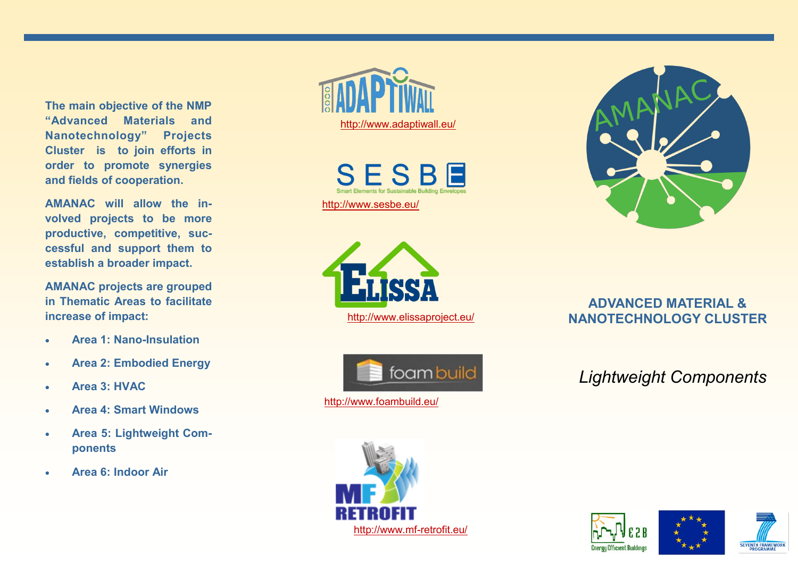**The main objective of the NMP "Advanced Materials and Nanotechnology" Projects Cluster is to join efforts in order to promote synergies and fields of cooperation.**

**AMANAC will allow the involved projects to be more productive, competitive, successful and support them to establish a broader impact.**

**AMANAC projects are grouped in Thematic Areas to facilitate increase of impact:**

- **Area 1: Nano-Insulation**
- **Area 2: Embodied Energy**
- **Area 3: HVAC**
- **Area 4: Smart Windows**
- **Area 5: Lightweight Components**
- **Area 6: Indoor Air**



SESBE [http://www.sesbe.eu/](http://www.sesbe.eu) 





<http://www.foambuild.eu/>



## **ADVANCED MATERIAL &**  http://www.elissaproject.eu/ **NANOTECHNOLOGY CLUSTER**

# *Lightweight Components*